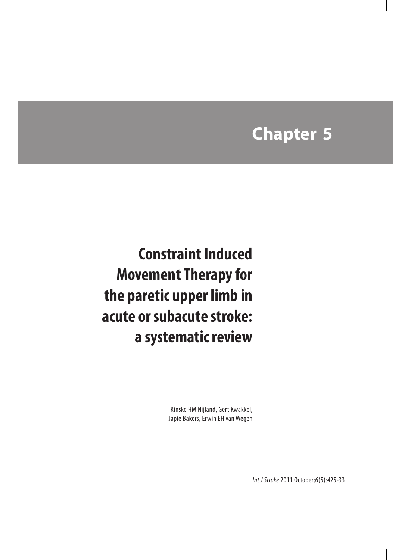# **Chapter 5**

 **Constraint Induced Movement Therapy for the paretic upper limb in acute or subacute stroke: a systematic review**

> Rinske HM Nijland, Gert Kwakkel, Japie Bakers, Erwin EH van Wegen

> > *Int J Stroke* 2011 October;6(5):425-33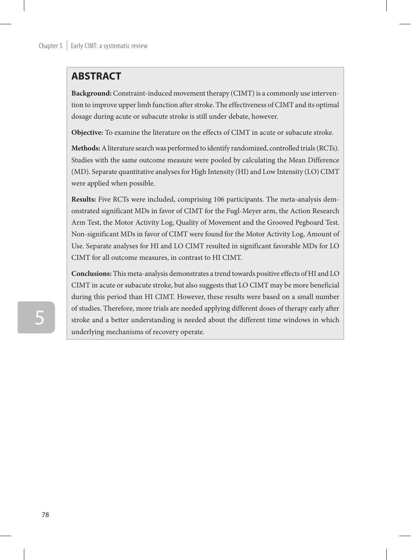## **ABSTRACT**

**Background:** Constraint-induced movement therapy (CIMT) is a commonly use intervention to improve upper limb function after stroke. The effectiveness of CIMT and its optimal dosage during acute or subacute stroke is still under debate, however.

**Objective:** To examine the literature on the effects of CIMT in acute or subacute stroke.

**Methods:** A literature search was performed to identify randomized, controlled trials (RCTs). Studies with the same outcome measure were pooled by calculating the Mean Difference (MD). Separate quantitative analyses for High Intensity (HI) and Low Intensity (LO) CIMT were applied when possible.

**Results:** Five RCTs were included, comprising 106 participants. The meta-analysis demonstrated significant MDs in favor of CIMT for the Fugl-Meyer arm, the Action Research Arm Test, the Motor Activity Log, Quality of Movement and the Grooved Pegboard Test. Non-significant MDs in favor of CIMT were found for the Motor Activity Log, Amount of Use. Separate analyses for HI and LO CIMT resulted in significant favorable MDs for LO CIMT for all outcome measures, in contrast to HI CIMT.

**Conclusions:** This meta-analysis demonstrates a trend towards positive effects of HI and LO CIMT in acute or subacute stroke, but also suggests that LO CIMT may be more beneficial during this period than HI CIMT. However, these results were based on a small number of studies. Therefore, more trials are needed applying different doses of therapy early after stroke and a better understanding is needed about the different time windows in which underlying mechanisms of recovery operate.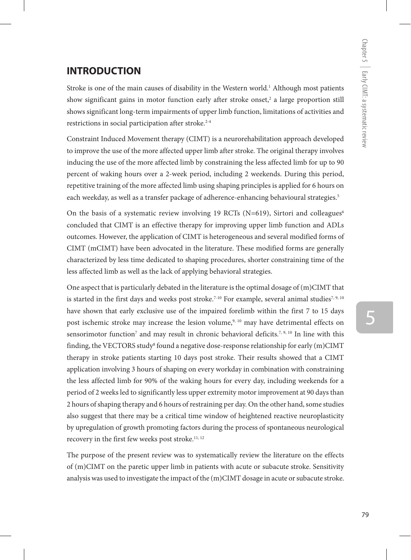## **INTRODUCTION**

Stroke is one of the main causes of disability in the Western world.<sup>1</sup> Although most patients show significant gains in motor function early after stroke onset,<sup>2</sup> a large proportion still shows significant long-term impairments of upper limb function, limitations of activities and restrictions in social participation after stroke.<sup>2-4</sup>

Constraint Induced Movement therapy (CIMT) is a neurorehabilitation approach developed to improve the use of the more affected upper limb after stroke. The original therapy involves inducing the use of the more affected limb by constraining the less affected limb for up to 90 percent of waking hours over a 2-week period, including 2 weekends. During this period, repetitive training of the more affected limb using shaping principles is applied for 6 hours on each weekday, as well as a transfer package of adherence-enhancing behavioural strategies.<sup>5</sup>

On the basis of a systematic review involving 19 RCTs (N=619), Sirtori and colleagues<sup>6</sup> concluded that CIMT is an effective therapy for improving upper limb function and ADLs outcomes. However, the application of CIMT is heterogeneous and several modified forms of CIMT (mCIMT) have been advocated in the literature. These modified forms are generally characterized by less time dedicated to shaping procedures, shorter constraining time of the less affected limb as well as the lack of applying behavioral strategies.

One aspect that is particularly debated in the literature is the optimal dosage of (m)CIMT that is started in the first days and weeks post stroke.<sup>7-10</sup> For example, several animal studies<sup>7, 9, 10</sup> have shown that early exclusive use of the impaired forelimb within the first 7 to 15 days post ischemic stroke may increase the lesion volume,<sup>9, 10</sup> may have detrimental effects on sensorimotor function<sup>7</sup> and may result in chronic behavioral deficits.<sup>7, 9, 10</sup> In line with this finding, the VECTORS study<sup>s</sup> found a negative dose-response relationship for early (m)CIMT therapy in stroke patients starting 10 days post stroke. Their results showed that a CIMT application involving 3 hours of shaping on every workday in combination with constraining the less affected limb for 90% of the waking hours for every day, including weekends for a period of 2 weeks led to significantly less upper extremity motor improvement at 90 days than 2 hours of shaping therapy and 6 hours of restraining per day. On the other hand, some studies also suggest that there may be a critical time window of heightened reactive neuroplasticity by upregulation of growth promoting factors during the process of spontaneous neurological recovery in the first few weeks post stroke.<sup>11, 12</sup>

The purpose of the present review was to systematically review the literature on the effects of (m)CIMT on the paretic upper limb in patients with acute or subacute stroke. Sensitivity analysis was used to investigate the impact of the (m)CIMT dosage in acute or subacute stroke.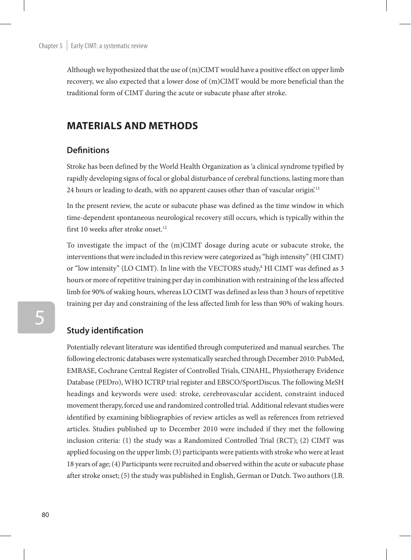Although we hypothesized that the use of  $(m)$ CIMT would have a positive effect on upper limb recovery, we also expected that a lower dose of (m)CIMT would be more beneficial than the traditional form of CIMT during the acute or subacute phase after stroke.

## **Materials and methods**

#### **Definitions**

Stroke has been defined by the World Health Organization as 'a clinical syndrome typified by rapidly developing signs of focal or global disturbance of cerebral functions, lasting more than 24 hours or leading to death, with no apparent causes other than of vascular origin.<sup>13</sup>

In the present review, the acute or subacute phase was defined as the time window in which time-dependent spontaneous neurological recovery still occurs, which is typically within the first 10 weeks after stroke onset.<sup>12</sup>

To investigate the impact of the (m)CIMT dosage during acute or subacute stroke, the interventions that were included in this review were categorized as "high intensity" (HI CIMT) or "low intensity" (LO CIMT). In line with the VECTORS study,<sup>8</sup> HI CIMT was defined as 3 hours or more of repetitive training per day in combination with restraining of the less affected limb for 90% of waking hours, whereas LO CIMT was defined as less than 3 hours of repetitive training per day and constraining of the less affected limb for less than 90% of waking hours.

## **Study identification**

Potentially relevant literature was identified through computerized and manual searches. The following electronic databases were systematically searched through December 2010: PubMed, EMBASE, Cochrane Central Register of Controlled Trials, CINAHL, Physiotherapy Evidence Database (PEDro), WHO ICTRP trial register and EBSCO/SportDiscus. The following MeSH headings and keywords were used: stroke, cerebrovascular accident, constraint induced movement therapy, forced use and randomized controlled trial. Additional relevant studies were identified by examining bibliographies of review articles as well as references from retrieved articles. Studies published up to December 2010 were included if they met the following inclusion criteria: (1) the study was a Randomized Controlled Trial (RCT); (2) CIMT was applied focusing on the upper limb; (3) participants were patients with stroke who were at least 18 years of age; (4) Participants were recruited and observed within the acute or subacute phase after stroke onset; (5) the study was published in English, German or Dutch. Two authors (J.B.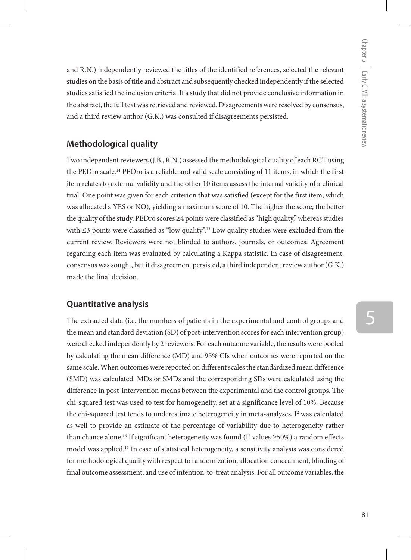and R.N.) independently reviewed the titles of the identified references, selected the relevant studies on the basis of title and abstract and subsequently checked independently if the selected studies satisfied the inclusion criteria. If a study that did not provide conclusive information in the abstract, the full text was retrieved and reviewed. Disagreements were resolved by consensus, and a third review author (G.K.) was consulted if disagreements persisted.

## **Methodological quality**

Two independent reviewers (J.B., R.N.) assessed the methodological quality of each RCT using the PEDro scale.14 PEDro is a reliable and valid scale consisting of 11 items, in which the first item relates to external validity and the other 10 items assess the internal validity of a clinical trial. One point was given for each criterion that was satisfied (except for the first item, which was allocated a YES or NO), yielding a maximum score of 10. The higher the score, the better the quality of the study. PEDro scores ≥4 points were classified as "high quality," whereas studies with  $\leq$ 3 points were classified as "low quality".<sup>15</sup> Low quality studies were excluded from the current review. Reviewers were not blinded to authors, journals, or outcomes. Agreement regarding each item was evaluated by calculating a Kappa statistic. In case of disagreement, consensus was sought, but if disagreement persisted, a third independent review author (G.K.) made the final decision.

## **Quantitative analysis**

The extracted data (i.e. the numbers of patients in the experimental and control groups and the mean and standard deviation (SD) of post-intervention scores for each intervention group) were checked independently by 2 reviewers. For each outcome variable, the results were pooled by calculating the mean difference (MD) and 95% CIs when outcomes were reported on the same scale. When outcomes were reported on different scales the standardized mean difference (SMD) was calculated. MDs or SMDs and the corresponding SDs were calculated using the difference in post-intervention means between the experimental and the control groups. The chi-squared test was used to test for homogeneity, set at a significance level of 10%. Because the chi-squared test tends to underestimate heterogeneity in meta-analyses,  $I<sup>2</sup>$  was calculated as well to provide an estimate of the percentage of variability due to heterogeneity rather than chance alone.<sup>16</sup> If significant heterogeneity was found ( $I<sup>2</sup>$  values  $\geq$ 50%) a random effects model was applied.16 In case of statistical heterogeneity, a sensitivity analysis was considered for methodological quality with respect to randomization, allocation concealment, blinding of final outcome assessment, and use of intention-to-treat analysis. For all outcome variables, the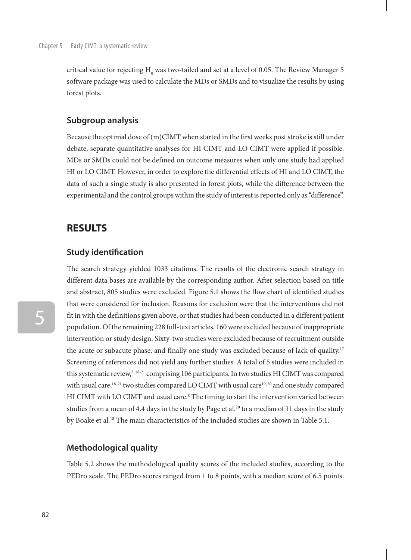critical value for rejecting  $\mathrm{H_0}$  was two-tailed and set at a level of 0.05. The Review Manager 5 software package was used to calculate the MDs or SMDs and to visualize the results by using forest plots.

#### **Subgroup analysis**

Because the optimal dose of (m)CIMT when started in the first weeks post stroke is still under debate, separate quantitative analyses for HI CIMT and LO CIMT were applied if possible. MDs or SMDs could not be defined on outcome measures when only one study had applied HI or LO CIMT. However, in order to explore the differential effects of HI and LO CIMT, the data of such a single study is also presented in forest plots, while the difference between the experimental and the control groups within the study of interest is reported only as "difference".

## **RESULTS**

### **Study identification**

The search strategy yielded 1033 citations. The results of the electronic search strategy in different data bases are available by the corresponding author. After selection based on title and abstract, 805 studies were excluded. Figure 5.1 shows the flow chart of identified studies that were considered for inclusion. Reasons for exclusion were that the interventions did not fit in with the definitions given above, or that studies had been conducted in a different patient population. Of the remaining 228 full-text articles, 160 were excluded because of inappropriate intervention or study design. Sixty-two studies were excluded because of recruitment outside the acute or subacute phase, and finally one study was excluded because of lack of quality.<sup>17</sup> Screening of references did not yield any further studies. A total of 5 studies were included in this systematic review,<sup>8, 18-21</sup> comprising 106 participants. In two studies HI CIMT was compared with usual care,<sup>18,21</sup> two studies compared LO CIMT with usual care<sup>19,20</sup> and one study compared HI CIMT with LO CIMT and usual care.<sup>8</sup> The timing to start the intervention varied between studies from a mean of 4.4 days in the study by Page et al.<sup>20</sup> to a median of 11 days in the study by Boake et al.<sup>18</sup> The main characteristics of the included studies are shown in Table 5.1.

#### **Methodological quality**

Table 5.2 shows the methodological quality scores of the included studies, according to the PEDro scale. The PEDro scores ranged from 1 to 8 points, with a median score of 6.5 points.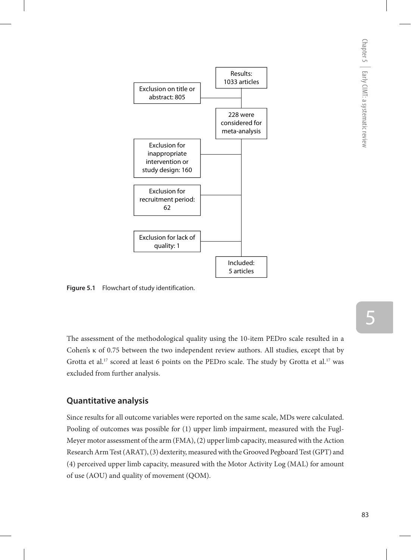

**Figure 5.1** Flowchart of study identification.

The assessment of the methodological quality using the 10-item PEDro scale resulted in a Cohen's κ of 0.75 between the two independent review authors. All studies, except that by Grotta et al.<sup>17</sup> scored at least 6 points on the PEDro scale. The study by Grotta et al.<sup>17</sup> was excluded from further analysis.

## **Quantitative analysis**

Since results for all outcome variables were reported on the same scale, MDs were calculated. Pooling of outcomes was possible for (1) upper limb impairment, measured with the Fugl-Meyer motor assessment of the arm (FMA), (2) upper limb capacity, measured with the Action Research Arm Test (ARAT), (3) dexterity, measured with the Grooved Pegboard Test (GPT) and (4) perceived upper limb capacity, measured with the Motor Activity Log (MAL) for amount of use (AOU) and quality of movement (QOM).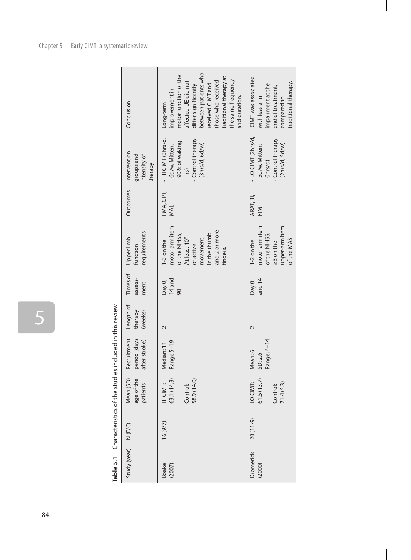|                                                                                                                                                                                                                                |                                                                | between patients who<br>motor function of the<br>traditional therapy at<br>the same frequency<br>those who received<br>affected UE did not | CIMT was associated                                                                          |
|--------------------------------------------------------------------------------------------------------------------------------------------------------------------------------------------------------------------------------|----------------------------------------------------------------|--------------------------------------------------------------------------------------------------------------------------------------------|----------------------------------------------------------------------------------------------|
|                                                                                                                                                                                                                                | Conclusion                                                     | received CIMT and<br>differ significantly<br>improvement in<br>and duration.<br>Long-term                                                  | impairment at the<br>end of treatment,<br>with less arm<br>compared to                       |
|                                                                                                                                                                                                                                | Outcomes Intervention<br>groups and<br>intensity of<br>therapy | $\cdot$ HI CIMT (3hrs/d,<br>Control therapy<br>90% of waking<br>(3hrs/d, 6d/w)<br>6d/w. Mitten:<br>$hrS$ )                                 | • LO CIMT (2hrs/d,<br>Control therapy<br>(2hrs/d, 5d/w)<br>5d/w. Mitten:<br>6hrs/d)          |
|                                                                                                                                                                                                                                |                                                                | FMA, GPT,<br><b>NAL</b>                                                                                                                    | ARAT, BI,<br>FIM                                                                             |
|                                                                                                                                                                                                                                | requirements<br>Times of Upper limb<br>function                | motor arm item<br>and 2 or more<br>in the thumb<br>of the NIHSS;<br>At least 10°<br>movement<br>$1-3$ on the<br>of active<br>fingers.      | upper-arm item<br>motor arm item<br>of the NIHSS;<br>$1-2$ on the<br>of the MAS<br>23 on the |
|                                                                                                                                                                                                                                | assess-<br>ment                                                | 14 and<br>Day 0,<br>90                                                                                                                     | and 14<br>Day 0                                                                              |
|                                                                                                                                                                                                                                | Length of<br>therapy<br>(weeks)                                |                                                                                                                                            |                                                                                              |
| did in the state in the state of the state of the state of the state of the state of the state of the state of the state of the state of the state of the state of the state of the state of the state of the state of the sta | Recruitment<br>period (days<br>after stroke)                   | Range 5-19<br>Median: 11                                                                                                                   | Range: 4-14<br>Mean: 6<br>SD:2.6                                                             |
|                                                                                                                                                                                                                                | Mean (SD)<br>age of the<br>patients                            | 63.1 (14.3)<br>58.9 (14.0)<br>HI CIMT:<br>Control:                                                                                         | 61.5(13.7)<br>LO CIMT:<br>71.4(5.3)<br>Control:                                              |
|                                                                                                                                                                                                                                | N (E/C)                                                        | 16(9/7)                                                                                                                                    | 20 (11/9)                                                                                    |
|                                                                                                                                                                                                                                | Study (year)                                                   | Boake<br>(2007)                                                                                                                            | <b>Dromerick</b><br>(2000)                                                                   |

Table 5.1 Characteristics of the studies included in this review **Table 5.1** Characteristics of the studies included in this review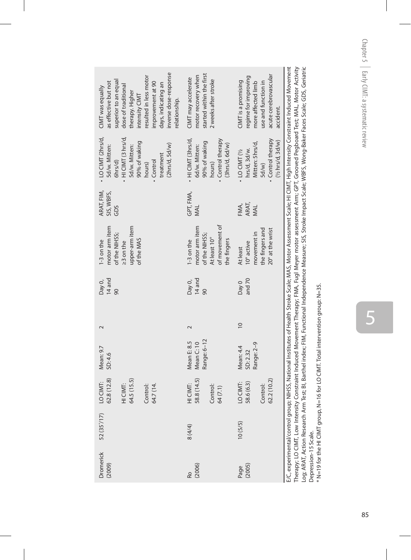| inverse dose-response<br>resulted in less motor<br>superior to an equal<br>as effective but not<br>improvement at 90<br>days, indicating an<br>dose of traditional<br>CIMT was equally<br>therapy. Higher<br>intensity CIMT<br>relationship. | started within the first<br>motor recovery when<br>CIMT may accelerate<br>2 weeks after stroke        | acute cerebrovascular<br>regime for improving<br>CIMT is a promising<br>more affected limb<br>use and function in<br>accident.  | Therapy: LO CIMT, Low Intensity Constraint Induced Movement Therapy: FMA, Fugl Mever motor assessment Arm; GPT, Grooved Pegboard Test; MAL, Motor Activity<br>:/C,experimental/control group; NHSS, National Institutes of Health Stroke Scale; MAS, Motor Assessment Scale; HI CIMT, High Intensity Constraint Induced Movement |
|----------------------------------------------------------------------------------------------------------------------------------------------------------------------------------------------------------------------------------------------|-------------------------------------------------------------------------------------------------------|---------------------------------------------------------------------------------------------------------------------------------|----------------------------------------------------------------------------------------------------------------------------------------------------------------------------------------------------------------------------------------------------------------------------------------------------------------------------------|
| · LO CIMT (2hrs/d,<br>· HI CIMT (3 hrs/d,<br>90% of waking<br>(2hrs/d, 5d/w)<br>5d/w. Mitten:<br>5d/w. Mitten:<br>treatment<br>$6$ hrs/d $)$<br>. Control<br>hours)                                                                          | - HI CIMT (3hrs/d,<br>• Control therapy<br>90% of waking<br>(3hrs/d, 6d/w)<br>6d/w. Mitten:<br>hours) | • Control therapy<br>(Y <sub>2</sub> hrs/d, 3d/w)<br>Mitten: 5hrs/d,<br>hrs/d, 3d/w.<br>$\cdot$ LO CIMT ( $\frac{1}{2}$<br>5d/w |                                                                                                                                                                                                                                                                                                                                  |
| ARAT, FIM,<br>SIS, WBFS,<br>GDS                                                                                                                                                                                                              | GPT, FMA,<br>NNL                                                                                      | ARAT,<br>FMA,<br>MAL                                                                                                            |                                                                                                                                                                                                                                                                                                                                  |
| motor arm item<br>upper-arm item<br>of the NIHSS;<br>of the MAS<br>1-3 on the<br>$23$ on the                                                                                                                                                 | of movement of<br>motor arm item<br>of the NIHSS;<br>At least 10°<br>the fingers<br>1-3 on the        | the fingers and<br>20° at the wrist<br>movement in<br>10° active<br>At least                                                    |                                                                                                                                                                                                                                                                                                                                  |
| 14 and<br>Day 0,<br>90                                                                                                                                                                                                                       | 14 and<br>Day 0,<br>90                                                                                | and 70<br>Day 0                                                                                                                 |                                                                                                                                                                                                                                                                                                                                  |
| $\mathbf 2$                                                                                                                                                                                                                                  | $\sim$                                                                                                | $\overline{10}$                                                                                                                 |                                                                                                                                                                                                                                                                                                                                  |
| Mean: 9.7<br>SD: 4.6                                                                                                                                                                                                                         | Range: 6-12<br>Mean E: 8.5<br>Mean C: 10                                                              | Range: 2-9<br>Mean: 4.4<br>SD: 2.32                                                                                             |                                                                                                                                                                                                                                                                                                                                  |
| 62.8 (12.8)<br>64.5 (15.5)<br>LO CIMT:<br>HI CIMT:<br>64.7 (14.<br>Control:                                                                                                                                                                  | 58.8 (14.5)<br>HI CIMT:<br>Control:<br>64 (7.1)                                                       | 62.2 (10.2)<br>LO CIMT:<br>58.6 (6.3)<br>Control:                                                                               |                                                                                                                                                                                                                                                                                                                                  |
| 52 (35 $'$ /17)                                                                                                                                                                                                                              | 8(4/4)                                                                                                | 10(5/5)                                                                                                                         |                                                                                                                                                                                                                                                                                                                                  |
| Dromerick<br>(2009)                                                                                                                                                                                                                          | Ro<br>(2006)                                                                                          | Page<br>(2005)                                                                                                                  |                                                                                                                                                                                                                                                                                                                                  |

Therapy; LO CIMT, Low Intensity Constraint Induced Movement Therapy; FMA, Fugl Meyer motor assessment Arm; GPT, Grooved Pegboard Test; MAL, Motor Activity Log; ARAT, Action Research Arm Test; BI, Barthel index; FIM, Functional Independence Measure; SIS, Stroke Impact Scale; WBFS, Wong-Baker Faces Scale; GDS, Geriatric Depression-15 Scale.<br>\* N=19 for the HI CIMT group, N=16 for LO CIMT. Total intervention group: N=35. Depression-15 Scale.

\* N=19 for the HI CIMT group, N=16 for LO CIMT. Total intervention group: N=35.

5 5<br>85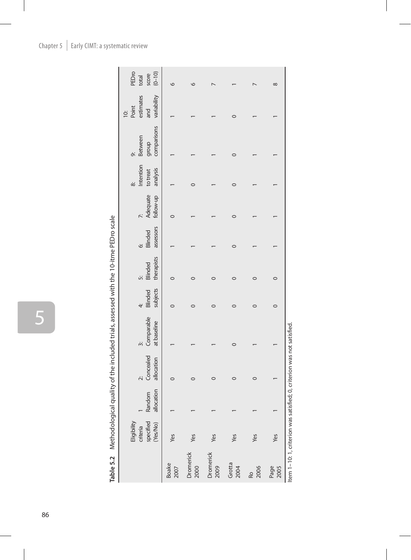|                   |                                                  |                      |                                   | ואי אייני אייני אייני אייני אייני אייני אייני אייני אייני אייני אייני אייני אייני אייני אייני אייני אייני איינ<br>אייני אייני אייני אייני אייני אייני אייני אייני אייני אייני אייני אייני אייני אייני אייני אייני אייני אייני אי |                     |                       |                                |                       |                                   |                                       |                                                           |                                       |
|-------------------|--------------------------------------------------|----------------------|-----------------------------------|----------------------------------------------------------------------------------------------------------------------------------------------------------------------------------------------------------------------------------|---------------------|-----------------------|--------------------------------|-----------------------|-----------------------------------|---------------------------------------|-----------------------------------------------------------|---------------------------------------|
|                   | specified<br>(Yes/No)<br>Eligibility<br>criteria | allocation<br>Random | Concealed<br>allocation<br>نڊ<br> | Comparable<br>at baseline                                                                                                                                                                                                        | Blinded<br>subjects | therapists<br>Blinded | assessors<br>Blinded<br>.<br>Ö | Adequate<br>follow-up | Intention<br>analysis<br>to treat | comparisons<br>Between<br>group<br>ö, | estimates<br>variability<br>and<br>Point<br>$\frac{1}{2}$ | PEDro<br>score<br>$(0 - 10)$<br>total |
| Boake<br>2007     | Yes                                              |                      |                                   |                                                                                                                                                                                                                                  |                     |                       |                                |                       |                                   |                                       |                                                           |                                       |
| Dromerick<br>2000 | Yes                                              |                      |                                   |                                                                                                                                                                                                                                  |                     |                       |                                |                       |                                   |                                       |                                                           |                                       |
| Dromerick<br>2009 | Yes                                              |                      |                                   |                                                                                                                                                                                                                                  |                     |                       |                                |                       |                                   |                                       |                                                           |                                       |
| Grotta<br>2004    | Yes                                              |                      |                                   |                                                                                                                                                                                                                                  |                     |                       |                                |                       |                                   |                                       |                                                           |                                       |
| 2006<br>Ro        | Yes                                              |                      |                                   |                                                                                                                                                                                                                                  |                     |                       |                                |                       |                                   |                                       |                                                           |                                       |

Table 5.2 Methodological quality of the included trials, assessed with the 10-itme PEDro scale **Table 5.2** Methodological quality of the included trials, assessed with the 10-itme PEDro scale

Item 1-10: 1, criterion was satisfied; 0, criterion was not satisfied. Item 1–10: 1, criterion was satisfied; 0, criterion was not satisfied.

Page<br>2005

Yes

 $\infty$ 

 $\overline{a}$ 

 $\overline{\phantom{0}}$ 

 $\overline{\phantom{0}}$ 

 $\overline{\phantom{0}}$ 

 $\overline{\phantom{0}}$ 

 $\circ$ 

 $\circ$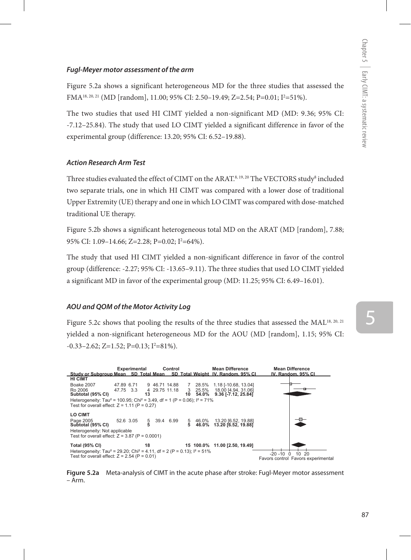#### *Fugl-Meyer motor assessment of the arm*

Figure 5.2a shows a significant heterogeneous MD for the three studies that assessed the FMA<sup>18, 20, 21</sup> (MD [random], 11.00; 95% CI: 2.50–19.49; Z=2.54; P=0.01; I<sup>2</sup>=51%).

The two studies that used HI CIMT yielded a non-significant MD (MD: 9.36; 95% CI: -7.12–25.84). The study that used LO CIMT yielded a significant difference in favor of the experimental group (difference: 13.20; 95% CI: 6.52–19.88).

#### *Action Research Arm Test*

Three studies evaluated the effect of CIMT on the ARAT. $s, 19, 20$  The VECTORS study $s$  included two separate trials, one in which HI CIMT was compared with a lower dose of traditional Upper Extremity (UE) therapy and one in which LO CIMT was compared with dose-matched traditional UE therapy.

Figure 5.2b shows a significant heterogeneous total MD on the ARAT (MD [random], 7.88; 95% CI: 1.09–14.66; Z=2.28; P=0.02; I<sup>2</sup>=64%).

The study that used HI CIMT yielded a non-significant difference in favor of the control group (difference: -2.27; 95% CI: -13.65–9.11). The three studies that used LO CIMT yielded a significant MD in favor of the experimental group (MD: 11.25; 95% CI: 6.49–16.01).

#### *AOU and QOM of the Motor Activity Log*

Figure 5.2c shows that pooling the results of the three studies that assessed the MAL<sup>18, 20, 21</sup> yielded a non-significant heterogeneous MD for the AOU (MD [random], 1.15; 95% CI:  $-0.33-2.62$ ; Z=1.52; P=0.13; I<sup>2</sup>=81%).



**Figure 5.2a** Meta-analysis of CIMT in the acute phase after stroke: Fugl-Meyer motor assessment – Arm.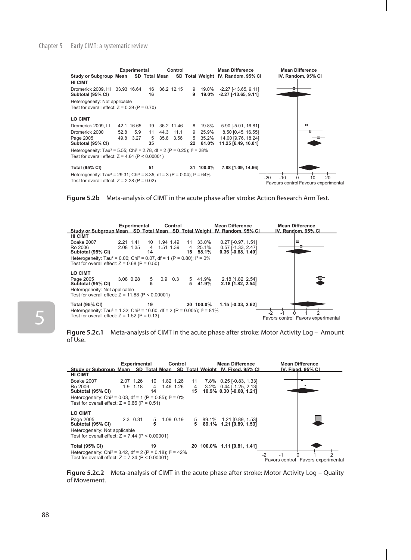#### Chapter 5  $\parallel$  Early CIMT: a systematic review



**Figure 5.2b** Meta-analysis of CIMT in the acute phase after stroke: Action Research Arm Test.



**Figure 5.2c.1** Meta-analysis of CIMT in the acute phase after stroke: Motor Activity Log – Amount of Use.



**Figure 5.2c.2** Meta-analysis of CIMT in the acute phase after stroke: Motor Activity Log – Quality of Movement.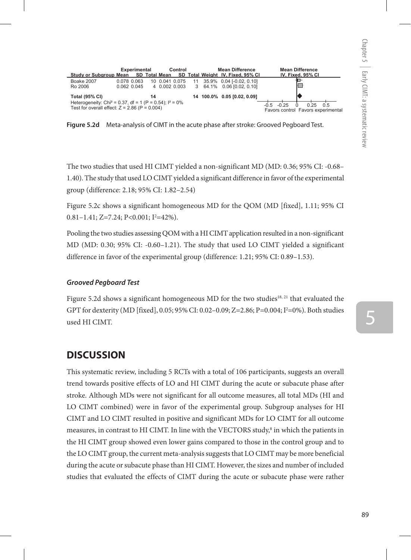

**Figure 5.2d** Meta-analysis of CIMT in the acute phase after stroke: Grooved Pegboard Test.

The two studies that used HI CIMT yielded a non-significant MD (MD: 0.36; 95% CI: -0.68– 1.40). The study that used LO CIMT yielded a significant difference in favor of the experimental group (difference: 2.18; 95% CI: 1.82–2.54)

Figure 5.2c shows a significant homogeneous MD for the QOM (MD [fixed], 1.11; 95% CI  $0.81 - 1.41$ ; Z=7.24; P<0.001; I<sup>2</sup>=42%).

Pooling the two studies assessing QOM with a HI CIMT application resulted in a non-significant MD (MD: 0.30; 95% CI: -0.60–1.21). The study that used LO CIMT yielded a significant difference in favor of the experimental group (difference: 1.21; 95% CI: 0.89–1.53).

#### *Grooved Pegboard Test*

Figure 5.2d shows a significant homogeneous MD for the two studies<sup>18, 21</sup> that evaluated the GPT for dexterity (MD [fixed], 0.05; 95% CI: 0.02–0.09; Z=2.86; P=0.004; I2 =0%). Both studies used HI CIMT.

## **DISCUSSION**

This systematic review, including 5 RCTs with a total of 106 participants, suggests an overall trend towards positive effects of LO and HI CIMT during the acute or subacute phase after stroke. Although MDs were not significant for all outcome measures, all total MDs (HI and LO CIMT combined) were in favor of the experimental group. Subgroup analyses for HI CIMT and LO CIMT resulted in positive and significant MDs for LO CIMT for all outcome measures, in contrast to HI CIMT. In line with the VECTORS study,<sup>8</sup> in which the patients in the HI CIMT group showed even lower gains compared to those in the control group and to the LO CIMT group, the current meta-analysis suggests that LO CIMT may be more beneficial during the acute or subacute phase than HI CIMT. However, the sizes and number of included studies that evaluated the effects of CIMT during the acute or subacute phase were rather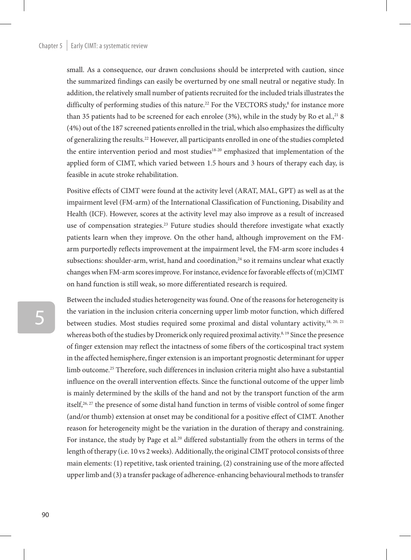small. As a consequence, our drawn conclusions should be interpreted with caution, since the summarized findings can easily be overturned by one small neutral or negative study. In addition, the relatively small number of patients recruited for the included trials illustrates the difficulty of performing studies of this nature.<sup>22</sup> For the VECTORS study, $^8$  for instance more than 35 patients had to be screened for each enrolee  $(3%)$ , while in the study by Ro et al.,<sup>21</sup> 8 (4%) out of the 187 screened patients enrolled in the trial, which also emphasizes the difficulty of generalizing the results.22 However, all participants enrolled in one of the studies completed the entire intervention period and most studies<sup>18-20</sup> emphasized that implementation of the applied form of CIMT, which varied between 1.5 hours and 3 hours of therapy each day, is feasible in acute stroke rehabilitation.

Positive effects of CIMT were found at the activity level (ARAT, MAL, GPT) as well as at the impairment level (FM-arm) of the International Classification of Functioning, Disability and Health (ICF). However, scores at the activity level may also improve as a result of increased use of compensation strategies.<sup>23</sup> Future studies should therefore investigate what exactly patients learn when they improve. On the other hand, although improvement on the FMarm purportedly reflects improvement at the impairment level, the FM-arm score includes 4 subsections: shoulder-arm, wrist, hand and coordination,<sup>24</sup> so it remains unclear what exactly changes when FM-arm scores improve. For instance, evidence for favorable effects of (m)CIMT on hand function is still weak, so more differentiated research is required.

Between the included studies heterogeneity was found. One of the reasons for heterogeneity is the variation in the inclusion criteria concerning upper limb motor function, which differed between studies. Most studies required some proximal and distal voluntary activity,<sup>18, 20, 21</sup> whereas both of the studies by Dromerick only required proximal activity.<sup>8, 19</sup> Since the presence of finger extension may reflect the intactness of some fibers of the corticospinal tract system in the affected hemisphere, finger extension is an important prognostic determinant for upper limb outcome.25 Therefore, such differences in inclusion criteria might also have a substantial influence on the overall intervention effects. Since the functional outcome of the upper limb is mainly determined by the skills of the hand and not by the transport function of the arm itself,<sup>26, 27</sup> the presence of some distal hand function in terms of visible control of some finger (and/or thumb) extension at onset may be conditional for a positive effect of CIMT. Another reason for heterogeneity might be the variation in the duration of therapy and constraining. For instance, the study by Page et al.<sup>20</sup> differed substantially from the others in terms of the length of therapy (i.e. 10 vs 2 weeks). Additionally, the original CIMT protocol consists of three main elements: (1) repetitive, task oriented training, (2) constraining use of the more affected upper limb and (3) a transfer package of adherence-enhancing behavioural methods to transfer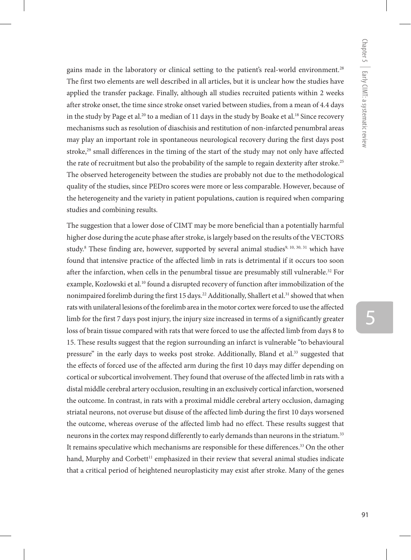gains made in the laboratory or clinical setting to the patient's real-world environment.<sup>28</sup> The first two elements are well described in all articles, but it is unclear how the studies have applied the transfer package. Finally, although all studies recruited patients within 2 weeks after stroke onset, the time since stroke onset varied between studies, from a mean of 4.4 days in the study by Page et al.<sup>20</sup> to a median of 11 days in the study by Boake et al.<sup>18</sup> Since recovery mechanisms such as resolution of diaschisis and restitution of non-infarcted penumbral areas may play an important role in spontaneous neurological recovery during the first days post stroke, $29$  small differences in the timing of the start of the study may not only have affected the rate of recruitment but also the probability of the sample to regain dexterity after stroke.<sup>25</sup> The observed heterogeneity between the studies are probably not due to the methodological quality of the studies, since PEDro scores were more or less comparable. However, because of the heterogeneity and the variety in patient populations, caution is required when comparing studies and combining results.

The suggestion that a lower dose of CIMT may be more beneficial than a potentially harmful higher dose during the acute phase after stroke, is largely based on the results of the VECTORS study.<sup>8</sup> These finding are, however, supported by several animal studies<sup>9, 10, 30, 31</sup> which have found that intensive practice of the affected limb in rats is detrimental if it occurs too soon after the infarction, when cells in the penumbral tissue are presumably still vulnerable.<sup>32</sup> For example, Kozlowski et al.<sup>10</sup> found a disrupted recovery of function after immobilization of the nonimpaired forelimb during the first 15 days.<sup>22</sup> Additionally, Shallert et al.<sup>31</sup> showed that when rats with unilateral lesions of the forelimb area in the motor cortex were forced to use the affected limb for the first 7 days post injury, the injury size increased in terms of a significantly greater loss of brain tissue compared with rats that were forced to use the affected limb from days 8 to 15. These results suggest that the region surrounding an infarct is vulnerable "to behavioural pressure" in the early days to weeks post stroke. Additionally, Bland et al.<sup>33</sup> suggested that the effects of forced use of the affected arm during the first 10 days may differ depending on cortical or subcortical involvement. They found that overuse of the affected limb in rats with a distal middle cerebral artery occlusion, resulting in an exclusively cortical infarction, worsened the outcome. In contrast, in rats with a proximal middle cerebral artery occlusion, damaging striatal neurons, not overuse but disuse of the affected limb during the first 10 days worsened the outcome, whereas overuse of the affected limb had no effect. These results suggest that neurons in the cortex may respond differently to early demands than neurons in the striatum.33 It remains speculative which mechanisms are responsible for these differences.<sup>33</sup> On the other hand, Murphy and Corbett<sup>11</sup> emphasized in their review that several animal studies indicate that a critical period of heightened neuroplasticity may exist after stroke. Many of the genes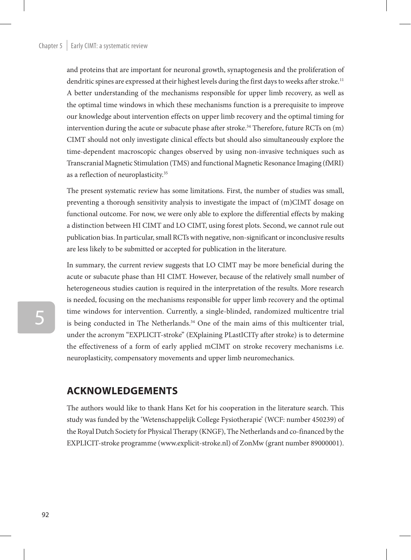and proteins that are important for neuronal growth, synaptogenesis and the proliferation of dendritic spines are expressed at their highest levels during the first days to weeks after stroke.<sup>11</sup> A better understanding of the mechanisms responsible for upper limb recovery, as well as the optimal time windows in which these mechanisms function is a prerequisite to improve our knowledge about intervention effects on upper limb recovery and the optimal timing for intervention during the acute or subacute phase after stroke.<sup>34</sup> Therefore, future RCTs on  $(m)$ CIMT should not only investigate clinical effects but should also simultaneously explore the time-dependent macroscopic changes observed by using non-invasive techniques such as Transcranial Magnetic Stimulation (TMS) and functional Magnetic Resonance Imaging (fMRI) as a reflection of neuroplasticity.35

The present systematic review has some limitations. First, the number of studies was small, preventing a thorough sensitivity analysis to investigate the impact of (m)CIMT dosage on functional outcome. For now, we were only able to explore the differential effects by making a distinction between HI CIMT and LO CIMT, using forest plots. Second, we cannot rule out publication bias. In particular, small RCTs with negative, non-significant or inconclusive results are less likely to be submitted or accepted for publication in the literature.

In summary, the current review suggests that LO CIMT may be more beneficial during the acute or subacute phase than HI CIMT. However, because of the relatively small number of heterogeneous studies caution is required in the interpretation of the results. More research is needed, focusing on the mechanisms responsible for upper limb recovery and the optimal time windows for intervention. Currently, a single-blinded, randomized multicentre trial is being conducted in The Netherlands. $34$  One of the main aims of this multicenter trial, under the acronym "EXPLICIT-stroke" (EXplaining PLastICITy after stroke) is to determine the effectiveness of a form of early applied mCIMT on stroke recovery mechanisms i.e. neuroplasticity, compensatory movements and upper limb neuromechanics.

## **Acknowledgements**

The authors would like to thank Hans Ket for his cooperation in the literature search. This study was funded by the 'Wetenschappelijk College Fysiotherapie' (WCF: number 450239) of the Royal Dutch Society for Physical Therapy (KNGF), The Netherlands and co-financed by the EXPLICIT-stroke programme (www.explicit-stroke.nl) of ZonMw (grant number 89000001).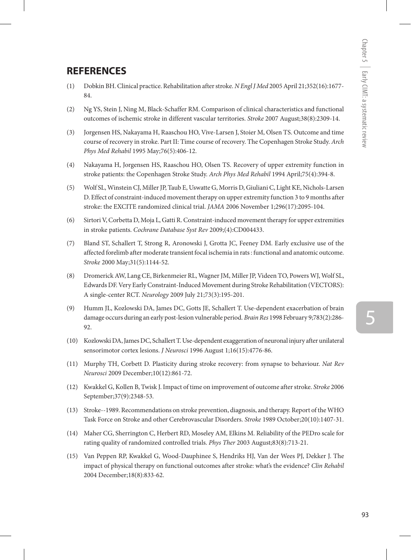## **REFERENCES**

- (1) Dobkin BH. Clinical practice. Rehabilitation after stroke. *N Engl J Med* 2005 April 21;352(16):1677- 84.
- (2) Ng YS, Stein J, Ning M, Black-Schaffer RM. Comparison of clinical characteristics and functional outcomes of ischemic stroke in different vascular territories. *Stroke* 2007 August;38(8):2309-14.
- (3) Jorgensen HS, Nakayama H, Raaschou HO, Vive-Larsen J, Stoier M, Olsen TS. Outcome and time course of recovery in stroke. Part II: Time course of recovery. The Copenhagen Stroke Study. *Arch Phys Med Rehabil* 1995 May;76(5):406-12.
- (4) Nakayama H, Jorgensen HS, Raaschou HO, Olsen TS. Recovery of upper extremity function in stroke patients: the Copenhagen Stroke Study. *Arch Phys Med Rehabil* 1994 April;75(4):394-8.
- (5) Wolf SL, Winstein CJ, Miller JP, Taub E, Uswatte G, Morris D, Giuliani C, Light KE, Nichols-Larsen D. Effect of constraint-induced movement therapy on upper extremity function 3 to 9 months after stroke: the EXCITE randomized clinical trial. *JAMA* 2006 November 1;296(17):2095-104.
- (6) Sirtori V, Corbetta D, Moja L, Gatti R. Constraint-induced movement therapy for upper extremities in stroke patients. *Cochrane Database Syst Rev* 2009;(4):CD004433.
- (7) Bland ST, Schallert T, Strong R, Aronowski J, Grotta JC, Feeney DM. Early exclusive use of the affected forelimb after moderate transient focal ischemia in rats : functional and anatomic outcome. *Stroke* 2000 May;31(5):1144-52.
- (8) Dromerick AW, Lang CE, Birkenmeier RL, Wagner JM, Miller JP, Videen TO, Powers WJ, Wolf SL, Edwards DF. Very Early Constraint-Induced Movement during Stroke Rehabilitation (VECTORS): A single-center RCT. *Neurology* 2009 July 21;73(3):195-201.
- (9) Humm JL, Kozlowski DA, James DC, Gotts JE, Schallert T. Use-dependent exacerbation of brain damage occurs during an early post-lesion vulnerable period. *Brain Res* 1998 February 9;783(2):286- 92.
- (10) Kozlowski DA, James DC, Schallert T. Use-dependent exaggeration of neuronal injury after unilateral sensorimotor cortex lesions. *J Neurosci* 1996 August 1;16(15):4776-86.
- (11) Murphy TH, Corbett D. Plasticity during stroke recovery: from synapse to behaviour. *Nat Rev Neurosci* 2009 December;10(12):861-72.
- (12) Kwakkel G, Kollen B, Twisk J. Impact of time on improvement of outcome after stroke. *Stroke* 2006 September;37(9):2348-53.
- (13) Stroke--1989. Recommendations on stroke prevention, diagnosis, and therapy. Report of the WHO Task Force on Stroke and other Cerebrovascular Disorders. *Stroke* 1989 October;20(10):1407-31.
- (14) Maher CG, Sherrington C, Herbert RD, Moseley AM, Elkins M. Reliability of the PEDro scale for rating quality of randomized controlled trials. *Phys Ther* 2003 August;83(8):713-21.
- (15) Van Peppen RP, Kwakkel G, Wood-Dauphinee S, Hendriks HJ, Van der Wees PJ, Dekker J. The impact of physical therapy on functional outcomes after stroke: what's the evidence? *Clin Rehabil*  2004 December;18(8):833-62.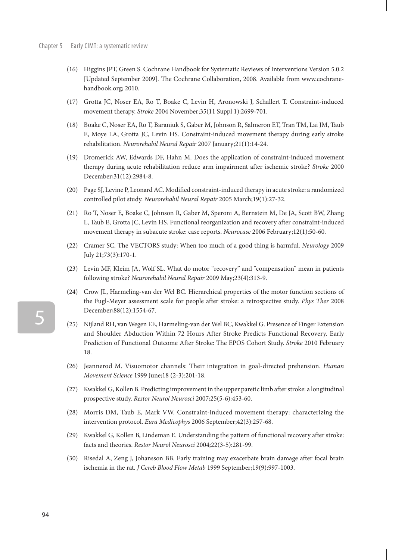- (16) Higgins JPT, Green S. Cochrane Handbook for Systematic Reviews of Interventions Version 5.0.2 [Updated September 2009]. The Cochrane Collaboration, 2008. Available from www.cochranehandbook.org; 2010.
- (17) Grotta JC, Noser EA, Ro T, Boake C, Levin H, Aronowski J, Schallert T. Constraint-induced movement therapy. *Stroke* 2004 November;35(11 Suppl 1):2699-701.
- (18) Boake C, Noser EA, Ro T, Baraniuk S, Gaber M, Johnson R, Salmeron ET, Tran TM, Lai JM, Taub E, Moye LA, Grotta JC, Levin HS. Constraint-induced movement therapy during early stroke rehabilitation. *Neurorehabil Neural Repair* 2007 January;21(1):14-24.
- (19) Dromerick AW, Edwards DF, Hahn M. Does the application of constraint-induced movement therapy during acute rehabilitation reduce arm impairment after ischemic stroke? *Stroke* 2000 December;31(12):2984-8.
- (20) Page SJ, Levine P, Leonard AC. Modified constraint-induced therapy in acute stroke: a randomized controlled pilot study. *Neurorehabil Neural Repair* 2005 March;19(1):27-32.
- (21) Ro T, Noser E, Boake C, Johnson R, Gaber M, Speroni A, Bernstein M, De JA, Scott BW, Zhang L, Taub E, Grotta JC, Levin HS. Functional reorganization and recovery after constraint-induced movement therapy in subacute stroke: case reports. *Neurocase* 2006 February;12(1):50-60.
- (22) Cramer SC. The VECTORS study: When too much of a good thing is harmful. *Neurology* 2009 July 21;73(3):170-1.
- (23) Levin MF, Kleim JA, Wolf SL. What do motor "recovery" and "compensation" mean in patients following stroke? *Neurorehabil Neural Repair* 2009 May;23(4):313-9.
- (24) Crow JL, Harmeling-van der Wel BC. Hierarchical properties of the motor function sections of the Fugl-Meyer assessment scale for people after stroke: a retrospective study. *Phys Ther* 2008 December;88(12):1554-67.
- (25) Nijland RH, van Wegen EE, Harmeling-van der Wel BC, Kwakkel G. Presence of Finger Extension and Shoulder Abduction Within 72 Hours After Stroke Predicts Functional Recovery. Early Prediction of Functional Outcome After Stroke: The EPOS Cohort Study. *Stroke* 2010 February 18.
- (26) Jeannerod M. Visuomotor channels: Their integration in goal-directed prehension. *Human Movement Science* 1999 June;18 (2-3):201-18.
- (27) Kwakkel G, Kollen B. Predicting improvement in the upper paretic limb after stroke: a longitudinal prospective study. *Restor Neurol Neurosci* 2007;25(5-6):453-60.
- (28) Morris DM, Taub E, Mark VW. Constraint-induced movement therapy: characterizing the intervention protocol. *Eura Medicophys* 2006 September;42(3):257-68.
- (29) Kwakkel G, Kollen B, Lindeman E. Understanding the pattern of functional recovery after stroke: facts and theories. *Restor Neurol Neurosci* 2004;22(3-5):281-99.
- (30) Risedal A, Zeng J, Johansson BB. Early training may exacerbate brain damage after focal brain ischemia in the rat. *J Cereb Blood Flow Metab* 1999 September;19(9):997-1003.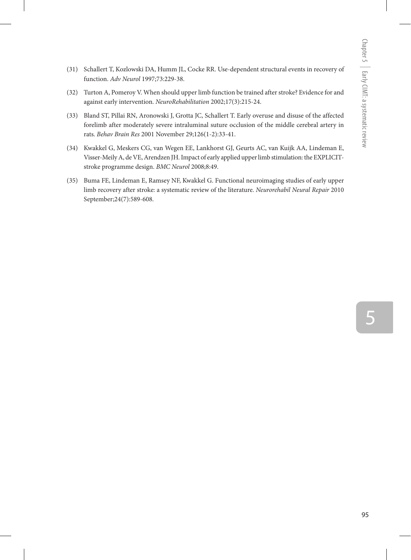- (31) Schallert T, Kozlowski DA, Humm JL, Cocke RR. Use-dependent structural events in recovery of function. *Adv Neurol* 1997;73:229-38.
- (32) Turton A, Pomeroy V. When should upper limb function be trained after stroke? Evidence for and against early intervention. *NeuroRehabilitation* 2002;17(3):215-24.
- (33) Bland ST, Pillai RN, Aronowski J, Grotta JC, Schallert T. Early overuse and disuse of the affected forelimb after moderately severe intraluminal suture occlusion of the middle cerebral artery in rats. *Behav Brain Res* 2001 November 29;126(1-2):33-41.
- (34) Kwakkel G, Meskers CG, van Wegen EE, Lankhorst GJ, Geurts AC, van Kuijk AA, Lindeman E, Visser-Meily A, de VE, Arendzen JH. Impact of early applied upper limb stimulation: the EXPLICITstroke programme design. *BMC Neurol* 2008;8:49.
- (35) Buma FE, Lindeman E, Ramsey NF, Kwakkel G. Functional neuroimaging studies of early upper limb recovery after stroke: a systematic review of the literature. *Neurorehabil Neural Repair* 2010 September;24(7):589-608.